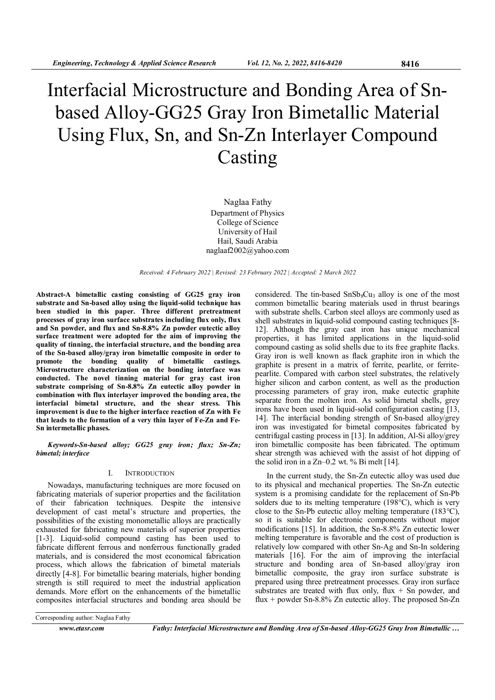# Interfacial Microstructure and Bonding Area of Snbased Alloy-GG25 Gray Iron Bimetallic Material Using Flux, Sn, and Sn-Zn Interlayer Compound Casting

Naglaa Fathy Department of Physics College of Science University of Hail Hail, Saudi Arabia naglaaf2002@yahoo.com

Received: 4 February 2022 | Revised: 23 February 2022 | Accepted: 2 March 2022

Abstract-A bimetallic casting consisting of GG25 gray iron substrate and Sn-based alloy using the liquid-solid technique has been studied in this paper. Three different pretreatment processes of gray iron surface substrates including flux only, flux and Sn powder, and flux and Sn-8.8% Zn powder eutectic alloy surface treatment were adopted for the aim of improving the quality of tinning, the interfacial structure, and the bonding area of the Sn-based alloy/gray iron bimetallic composite in order to promote the bonding quality of bimetallic castings. Microstructure characterization on the bonding interface was conducted. The novel tinning material for gray cast iron substrate comprising of Sn-8.8% Zn eutectic alloy powder in combination with flux interlayer improved the bonding area, the interfacial bimetal structure, and the shear stress. This improvement is due to the higher interface reaction of Zn with Fe that leads to the formation of a very thin layer of Fe-Zn and Fe-Sn intermetallic phases.

Keywords-Sn-based alloy; GG25 gray iron; flux; Sn-Zn; bimetal; interface

#### I. INTRODUCTION

Nowadays, manufacturing techniques are more focused on fabricating materials of superior properties and the facilitation of their fabrication techniques. Despite the intensive development of cast metal's structure and properties, the possibilities of the existing monometallic alloys are practically exhausted for fabricating new materials of superior properties [1-3]. Liquid-solid compound casting has been used to fabricate different ferrous and nonferrous functionally graded materials, and is considered the most economical fabrication process, which allows the fabrication of bimetal materials directly [4-8]. For bimetallic bearing materials, higher bonding strength is still required to meet the industrial application demands. More effort on the enhancements of the bimetallic composites interfacial structures and bonding area should be considered. The tin-based  $SnSb_8Cu_3$  alloy is one of the most common bimetallic bearing materials used in thrust bearings with substrate shells. Carbon steel alloys are commonly used as shell substrates in liquid-solid compound casting techniques [8- 12]. Although the gray cast iron has unique mechanical properties, it has limited applications in the liquid-solid compound casting as solid shells due to its free graphite flacks. Gray iron is well known as flack graphite iron in which the graphite is present in a matrix of ferrite, pearlite, or ferritepearlite. Compared with carbon steel substrates, the relatively higher silicon and carbon content, as well as the production processing parameters of gray iron, make eutectic graphite separate from the molten iron. As solid bimetal shells, grey irons have been used in liquid-solid configuration casting [13, 14]. The interfacial bonding strength of Sn-based alloy/grey iron was investigated for bimetal composites fabricated by centrifugal casting process in [13]. In addition, Al-Si alloy/grey iron bimetallic composite has been fabricated. The optimum shear strength was achieved with the assist of hot dipping of the solid iron in a  $Zn-0.2$  wt. % Bi melt [14].

In the current study, the Sn-Zn eutectic alloy was used due to its physical and mechanical properties. The Sn-Zn eutectic system is a promising candidate for the replacement of Sn-Pb solders due to its melting temperature (198 °C), which is very close to the Sn-Pb eutectic alloy melting temperature (183°C), so it is suitable for electronic components without major modifications [15]. In addition, the Sn-8.8% Zn eutectic lower melting temperature is favorable and the cost of production is relatively low compared with other Sn-Ag and Sn-In soldering materials [16]. For the aim of improving the interfacial structure and bonding area of Sn-based alloy/gray iron bimetallic composite, the gray iron surface substrate is prepared using three pretreatment processes. Gray iron surface substrates are treated with flux only, flux  $+$  Sn powder, and flux + powder Sn-8.8% Zn eutectic alloy. The proposed Sn-Zn

Corresponding author: Naglaa Fathy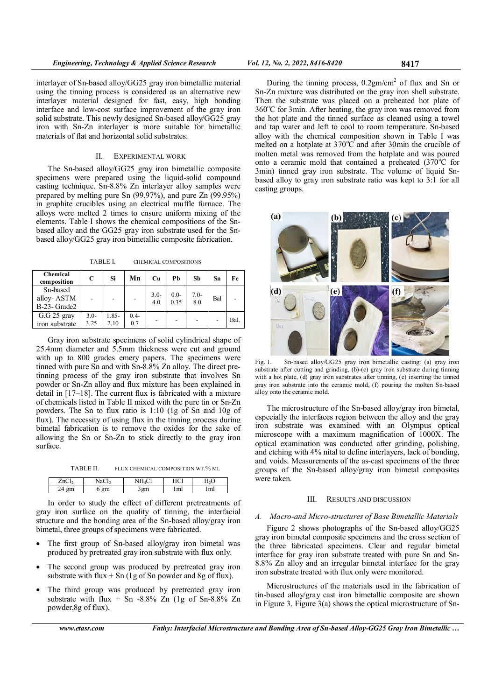interlayer of Sn-based alloy/GG25 gray iron bimetallic material using the tinning process is considered as an alternative new interlayer material designed for fast, easy, high bonding interface and low-cost surface improvement of the gray iron solid substrate. This newly designed Sn-based alloy/GG25 gray iron with Sn-Zn interlayer is more suitable for bimetallic materials of flat and horizontal solid substrates.

#### II. EXPERIMENTAL WORK

The Sn-based alloy/GG25 gray iron bimetallic composite specimens were prepared using the liquid-solid compound casting technique. Sn-8.8% Zn interlayer alloy samples were prepared by melting pure Sn (99.97%), and pure Zn (99.95%) in graphite crucibles using an electrical muffle furnace. The alloys were melted 2 times to ensure uniform mixing of the elements. Table I shows the chemical compositions of the Snbased alloy and the GG25 gray iron substrate used for the Snbased alloy/GG25 gray iron bimetallic composite fabrication.

TABLE I. CHEMICAL COMPOSITIONS

| <b>Chemical</b><br>composition         | C               | Si               | Mn                       | Cu            | Рb             | Sb            | Sn  | Fe   |
|----------------------------------------|-----------------|------------------|--------------------------|---------------|----------------|---------------|-----|------|
| Sn-based<br>alloy-ASTM<br>B-23- Grade2 |                 |                  | $\overline{\phantom{a}}$ | $3.0-$<br>4.0 | $0.0-$<br>0.35 | $7.0-$<br>8.0 | Bal |      |
| $G.G$ 25 gray<br>iron substrate        | $3.0 -$<br>3.25 | $1.85 -$<br>2.10 | $0.4 -$<br>0.7           |               |                |               |     | Bal. |

Gray iron substrate specimens of solid cylindrical shape of 25.4mm diameter and 5.5mm thickness were cut and ground with up to 800 grades emery papers. The specimens were tinned with pure Sn and with Sn-8.8% Zn alloy. The direct pretinning process of the gray iron substrate that involves Sn powder or Sn-Zn alloy and flux mixture has been explained in detail in [17–18]. The current flux is fabricated with a mixture of chemicals listed in Table II mixed with the pure tin or Sn-Zn powders. The Sn to flux ratio is 1:10 (1g of Sn and 10g of flux). The necessity of using flux in the tinning process during bimetal fabrication is to remove the oxides for the sake of allowing the Sn or Sn-Zn to stick directly to the gray iron surface.

TABLE II. FLUX CHEMICAL COMPOSITION WT.% ML

| பட |          | <br>T T C1<br>        |                         |
|----|----------|-----------------------|-------------------------|
|    | ---<br>ິ | $\mathbf{m}$<br>,,,,, | $\overline{a}$<br>11111 |

In order to study the effect of different pretreatments of gray iron surface on the quality of tinning, the interfacial structure and the bonding area of the Sn-based alloy/gray iron bimetal, three groups of specimens were fabricated.

- The first group of Sn-based alloy/gray iron bimetal was produced by pretreated gray iron substrate with flux only.
- The second group was produced by pretreated gray iron substrate with flux  $+$  Sn (1g of Sn powder and 8g of flux).
- The third group was produced by pretreated gray iron substrate with flux  $+$  Sn -8.8% Zn (1g of Sn-8.8% Zn powder,8g of flux).

During the tinning process,  $0.2gm/cm<sup>2</sup>$  of flux and Sn or Sn-Zn mixture was distributed on the gray iron shell substrate. Then the substrate was placed on a preheated hot plate of  $360^{\circ}$ C for 3min. After heating, the gray iron was removed from the hot plate and the tinned surface as cleaned using a towel and tap water and left to cool to room temperature. Sn-based alloy with the chemical composition shown in Table I was melted on a hotplate at  $370^{\circ}$ C and after 30min the crucible of molten metal was removed from the hotplate and was poured onto a ceramic mold that contained a preheated  $(370^{\circ}$ C for 3min) tinned gray iron substrate. The volume of liquid Snbased alloy to gray iron substrate ratio was kept to 3:1 for all casting groups.



Fig. 1. Sn-based alloy/GG25 gray iron bimetallic casting: (a) gray iron substrate after cutting and grinding, (b)-(c) gray iron substrate during tinning with a hot plate, (d) gray iron substrates after tinning, (e) inserting the tinned gray iron substrate into the ceramic mold, (f) pouring the molten Sn-based alloy onto the ceramic mold.

The microstructure of the Sn-based alloy/gray iron bimetal, especially the interfaces region between the alloy and the gray iron substrate was examined with an Olympus optical microscope with a maximum magnification of 1000X. The optical examination was conducted after grinding, polishing, and etching with 4% nital to define interlayers, lack of bonding, and voids. Measurements of the as-cast specimens of the three groups of the Sn-based alloy/gray iron bimetal composites were taken.

# III. RESULTS AND DISCUSSION

# A. Macro-and Micro-structures of Base Bimetallic Materials

Figure 2 shows photographs of the Sn-based alloy/GG25 gray iron bimetal composite specimens and the cross section of the three fabricated specimens. Clear and regular bimetal interface for gray iron substrate treated with pure Sn and Sn-8.8% Zn alloy and an irregular bimetal interface for the gray iron substrate treated with flux only were monitored.

Microstructures of the materials used in the fabrication of tin-based alloy/gray cast iron bimetallic composite are shown in Figure 3. Figure 3(a) shows the optical microstructure of Sn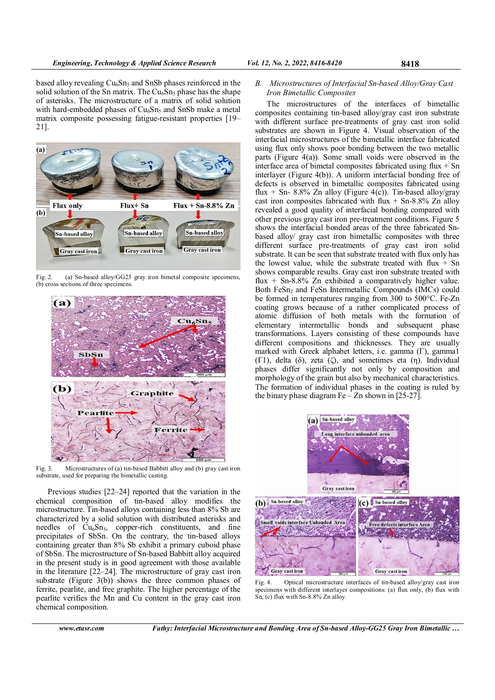based alloy revealing  $Cu<sub>6</sub>Sn<sub>5</sub>$  and SnSb phases reinforced in the solid solution of the Sn matrix. The  $Cu<sub>6</sub>Sn<sub>5</sub>$  phase has the shape of asterisks. The microstructure of a matrix of solid solution with hard-embedded phases of  $Cu<sub>6</sub>Sn<sub>5</sub>$  and SnSb make a metal matrix composite possessing fatigue-resistant properties [19– 21].



Fig. 2. (a) Sn-based alloy/GG25 gray iron bimetal composite specimens, (b) cross sections of three specimens.



Fig. 3. Microstructures of (a) tin-based Babbitt alloy and (b) gray cast iron substrate, used for preparing the bimetallic casting.

Previous studies [22–24] reported that the variation in the chemical composition of tin-based alloy modifies the microstructure. Tin-based alloys containing less than 8% Sb are characterized by a solid solution with distributed asterisks and needles of  $Cu<sub>6</sub>Sn<sub>5</sub>$ , copper-rich constituents, and fine precipitates of SbSn. On the contrary, the tin-based alloys containing greater than 8% Sb exhibit a primary cuboid phase of SbSn. The microstructure of Sn-based Babbitt alloy acquired in the present study is in good agreement with those available in the literature [22–24]. The microstructure of gray cast iron substrate (Figure 3(b)) shows the three common phases of ferrite, pearlite, and free graphite. The higher percentage of the pearlite verifies the Mn and Cu content in the gray cast iron chemical composition.

The microstructures of the interfaces of bimetallic composites containing tin-based alloy/gray cast iron substrate with different surface pre-treatments of gray cast iron solid substrates are shown in Figure 4. Visual observation of the interfacial microstructures of the bimetallic interface fabricated using flux only shows poor bonding between the two metallic parts (Figure 4(a)). Some small voids were observed in the interface area of bimetal composites fabricated using flux  $+$  Sn interlayer (Figure 4(b)). A uniform interfacial bonding free of defects is observed in bimetallic composites fabricated using flux + Sn- 8.8% Zn alloy (Figure 4(c)). Tin-based alloy/gray cast iron composites fabricated with flux  $+$  Sn-8.8% Zn alloy revealed a good quality of interfacial bonding compared with other previous gray cast iron pre-treatment conditions. Figure 5 shows the interfacial bonded areas of the three fabricated Snbased alloy/ gray cast iron bimetallic composites with three different surface pre-treatments of gray cast iron solid substrate. It can be seen that substrate treated with flux only has the lowest value, while the substrate treated with flux  $+$  Sn shows comparable results. Gray cast iron substrate treated with flux  $+$  Sn-8.8% Zn exhibited a comparatively higher value. Both FeSn<sub>2</sub> and FeSn Intermetallic Compounds (IMCs) could be formed in temperatures ranging from 300 to 500°C. Fe-Zn coating grows because of a rather complicated process of atomic diffusion of both metals with the formation of elementary intermetallic bonds and subsequent phase transformations. Layers consisting of these compounds have different compositions and thicknesses. They are usually marked with Greek alphabet letters, i.e. gamma (Γ), gamma1 (Γ1), delta (δ), zeta (ζ), and sometimes eta (η). Individual phases differ significantly not only by composition and morphology of the grain but also by mechanical characteristics. The formation of individual phases in the coating is ruled by the binary phase diagram  $Fe - Zn$  shown in [25-27].



Fig. 4. Optical microstructure interfaces of tin-based alloy/gray cast iron specimens with different interlayer compositions: (a) flux only, (b) flux with Sn, (c) flux with Sn-8.8% Zn alloy.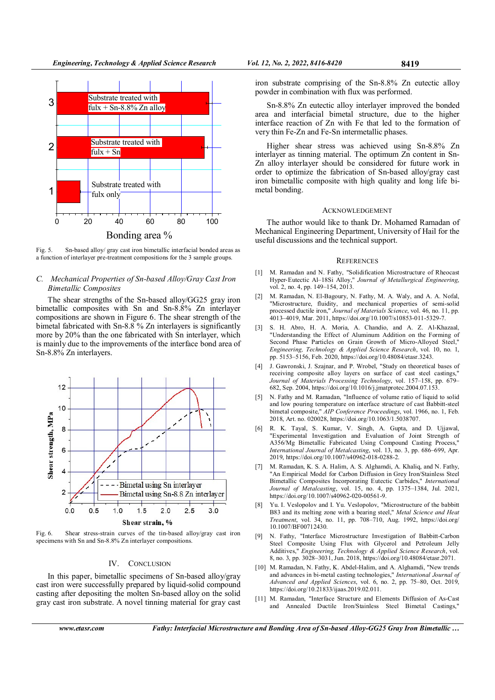

Fig. 5. Sn-based alloy/ gray cast iron bimetallic interfacial bonded areas as a function of interlayer pre-treatment compositions for the 3 sample groups.

### C. Mechanical Properties of Sn-based Alloy/Gray Cast Iron Bimetallic Composites

The shear strengths of the Sn-based alloy/GG25 gray iron bimetallic composites with Sn and Sn-8.8% Zn interlayer compositions are shown in Figure 6. The shear strength of the bimetal fabricated with Sn-8.8 % Zn interlayers is significantly more by 20% than the one fabricated with Sn interlayer, which is mainly due to the improvements of the interface bond area of Sn-8.8% Zn interlayers.



Fig. 6. Shear stress-strain curves of the tin-based alloy/gray cast iron specimens with Sn and Sn-8.8% Zn interlayer compositions.

#### IV. CONCLUSION

In this paper, bimetallic specimens of Sn-based alloy/gray cast iron were successfully prepared by liquid-solid compound casting after depositing the molten Sn-based alloy on the solid gray cast iron substrate. A novel tinning material for gray cast

iron substrate comprising of the Sn-8.8% Zn eutectic alloy powder in combination with flux was performed.

Sn-8.8% Zn eutectic alloy interlayer improved the bonded area and interfacial bimetal structure, due to the higher interface reaction of Zn with Fe that led to the formation of very thin Fe-Zn and Fe-Sn intermetallic phases.

Higher shear stress was achieved using Sn-8.8% Zn interlayer as tinning material. The optimum Zn content in Sn-Zn alloy interlayer should be considered for future work in order to optimize the fabrication of Sn-based alloy/gray cast iron bimetallic composite with high quality and long life bimetal bonding.

#### ACKNOWLEDGEMENT

The author would like to thank Dr. Mohamed Ramadan of Mechanical Engineering Department, University of Hail for the useful discussions and the technical support.

#### **REFERENCES**

- [1] M. Ramadan and N. Fathy, "Solidification Microstructure of Rheocast Hyper-Eutectic Al–18Si Alloy," Journal of Metallurgical Engineering, vol. 2, no. 4, pp. 149–154, 2013.
- [2] M. Ramadan, N. El-Bagoury, N. Fathy, M. A. Waly, and A. A. Nofal, "Microstructure, fluidity, and mechanical properties of semi-solid processed ductile iron," *Journal of Materials Science*, vol. 46, no. 11, pp. 4013–4019, Mar. 2011, https://doi.org/10.1007/s10853-011-5329-7.
- [3] S. H. Abro, H. A. Moria, A. Chandio, and A. Z. Al-Khazaal, "Understanding the Effect of Aluminum Addition on the Forming of Second Phase Particles on Grain Growth of Micro-Alloyed Steel," Engineering, Technology & Applied Science Research, vol. 10, no. 1, pp. 5153–5156, Feb. 2020, https://doi.org/10.48084/etasr.3243.
- [4] J. Gawronski, J. Szajnar, and P. Wrobel, "Study on theoretical bases of receiving composite alloy layers on surface of cast steel castings, Journal of Materials Processing Technology, vol. 157–158, pp. 679– 682, Sep. 2004, https://doi.org/10.1016/j.jmatprotec.2004.07.153.
- [5] N. Fathy and M. Ramadan, "Influence of volume ratio of liquid to solid and low pouring temperature on interface structure of cast Babbitt-steel bimetal composite," AIP Conference Proceedings, vol. 1966, no. 1, Feb. 2018, Art. no. 020028, https://doi.org/10.1063/1.5038707.
- [6] R. K. Tayal, S. Kumar, V. Singh, A. Gupta, and D. Ujjawal, "Experimental Investigation and Evaluation of Joint Strength of A356/Mg Bimetallic Fabricated Using Compound Casting Process," International Journal of Metalcasting, vol. 13, no. 3, pp. 686–699, Apr. 2019, https://doi.org/10.1007/s40962-018-0288-2.
- [7] M. Ramadan, K. S. A. Halim, A. S. Alghamdi, A. Khaliq, and N. Fathy, "An Empirical Model for Carbon Diffusion in Grey Iron/Stainless Steel Bimetallic Composites Incorporating Eutectic Carbides," International Journal of Metalcasting, vol. 15, no. 4, pp. 1375–1384, Jul. 2021, https://doi.org/10.1007/s40962-020-00561-9.
- [8] Yu. I. Veslopolov and I. Yu. Veslopolov, "Microstructure of the babbitt B83 and its melting zone with a bearing steel," Metal Science and Heat Treatment, vol. 34, no. 11, pp. 708–710, Aug. 1992, https://doi.org/ 10.1007/BF00712430.
- N. Fathy, "Interface Microstructure Investigation of Babbitt-Carbon Steel Composite Using Flux with Glycerol and Petroleum Jelly Additives," Engineering, Technology & Applied Science Research, vol. 8, no. 3, pp. 3028–3031, Jun. 2018, https://doi.org/10.48084/etasr.2071.
- [10] M. Ramadan, N. Fathy, K. Abdel-Halim, and A. Alghamdi, "New trends and advances in bi-metal casting technologies," International Journal of Advanced and Applied Sciences, vol. 6, no. 2, pp. 75–80, Oct. 2019, https://doi.org/10.21833/ijaas.2019.02.011.
- [11] M. Ramadan, "Interface Structure and Elements Diffusion of As-Cast and Annealed Ductile Iron/Stainless Steel Bimetal Castings,"